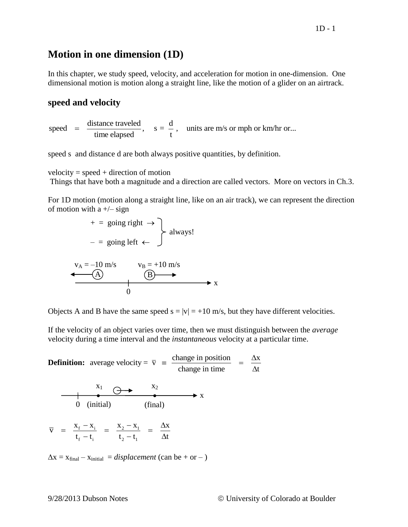# **Motion in one dimension (1D)**

In this chapter, we study speed, velocity, and acceleration for motion in one-dimension. One dimensional motion is motion along a straight line, like the motion of a glider on an airtrack.

## **speed and velocity**

speed and velocity<br>
speed =  $\frac{\text{distance traveled}}{\text{time elapsed}}$ ,  $s = \frac{d}{t}$ , units are m/s or mph or km/hr or... stance traveled<br>time elapsed,  $s = \frac{d}{t}$  $=$ 

speed s and distance d are both always positive quantities, by definition.

 $velocity = speed + direction of motion$ Things that have both a magnitude and a direction are called vectors. More on vectors in Ch.3.

For 1D motion (motion along a straight line, like on an air track), we can represent the direction of motion with a  $+/-$  sign

$$
+ = \text{going right} \rightarrow
$$
  

$$
- = \text{going left} \leftarrow
$$
  

$$
\leftarrow
$$
 always!

$$
v_A = -10 \text{ m/s} \qquad v_B = +10 \text{ m/s}
$$
\n
$$
\begin{array}{c}\n\bullet \\
\hline\n\textcircled{A} \\
0\n\end{array}
$$

Objects A and B have the same speed  $s = |v| = +10$  m/s, but they have different velocities.

If the velocity of an object varies over time, then we must distinguish between the *average*

velocity during a time interval and the *instantaneous* velocity at a particular time.  
**Definition:** average velocity = 
$$
\overline{v}
$$
 =  $\frac{\text{change in position}}{\text{change in time}}$  =  $\frac{\Delta x}{\Delta t}$ 

$$
\begin{array}{c}\n & x_1 \rightarrow x_2 \\
 & 0 \quad \text{(initial)}\n\end{array}
$$

 $\frac{f - x_i}{f} = \frac{x_2 - x_1}{f}$  $t_{\rm f}$  - t<sub>i</sub>  $t_{\rm i}$  t<sub>2</sub> - t<sub>1</sub>  $\overline{v} = \frac{x_{f} - x_{i}}{t_{f} - t_{i}} = \frac{x_{2} - x_{1}}{t_{2} - t_{1}} = \frac{\Delta x}{\Delta t}$ =  $\frac{X_f - X_i}{t + t}$  =  $\frac{X_2 - X_1}{t + t}$  =  $\frac{\Delta x}{\Delta t}$  $\frac{-x_i}{-t_i} = \frac{x_2 - x_1}{t_2 - t_1} = \frac{\Delta x}{\Delta t}$ 

 $\Delta x = x_{\text{final}} - x_{\text{initial}} = displacement (can be + or -)$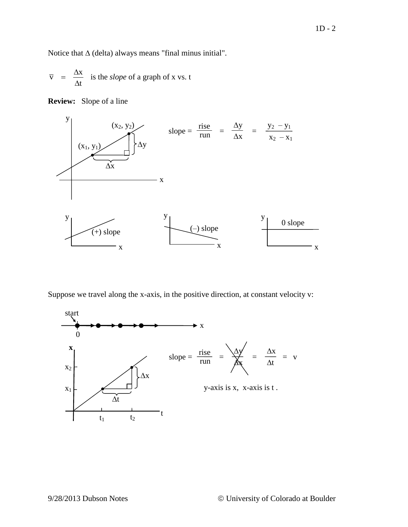Notice that  $\Delta$  (delta) always means "final minus initial".

$$
\overline{v} = \frac{\Delta x}{\Delta t}
$$
 is the *slope* of a graph of x vs. t



**Review:** Slope of a line

Suppose we travel along the x-axis, in the positive direction, at constant velocity v:



x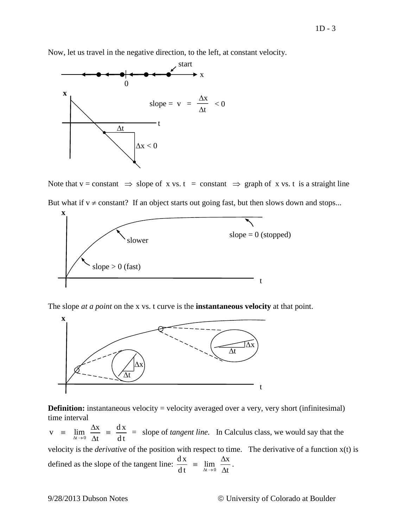Now, let us travel in the negative direction, to the left, at constant velocity.



Note that  $v = constant \implies slope of x vs. t = constant \implies graph of x vs. t is a straight line$ 

But what if  $v \neq constant$ ? If an object starts out going fast, but then slows down and stops...



The slope *at a point* on the x vs. t curve is the **instantaneous velocity** at that point.



**Definition:** instantaneous velocity = velocity averaged over a very, very short (infinitesimal) time interval

 $v = \lim_{\Delta t \to 0} \frac{\Delta x}{\Delta t} = \frac{dx}{dt}$  $\lim_{\Delta t \to 0} \frac{ }{\Delta t} = \frac{ }{dt}$  $\equiv \lim_{\Delta t \to 0} \frac{\Delta x}{\Delta t} = \frac{d}{d}$ = slope of *tangent line.* In Calculus class, we would say that the

velocity is the *derivative* of the position with respect to time. The derivative of a function x(t) is defined as the slope of the tangent line:  $\frac{dx}{dt} = \lim_{\Delta t \to 0} \frac{\Delta x}{\Delta t}$  $dt = \lim_{\Delta t \to 0} \Delta t$  $\equiv$  lim  $\frac{\Delta}{\Delta}$  $\Delta$ .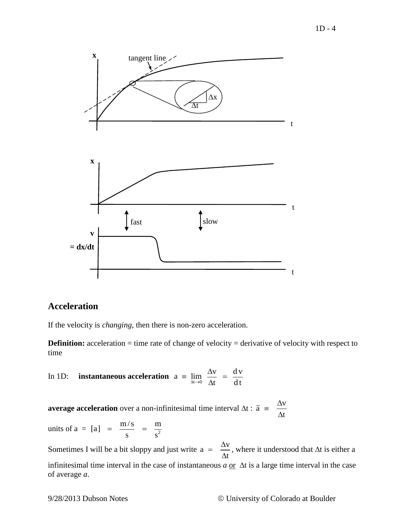

# **Acceleration**

If the velocity is *changing*, then there is non-zero acceleration.

**Definition:** acceleration = time rate of change of velocity = derivative of velocity with respect to time

In 1D: **instantaneous acceleration** 
$$
a = \lim_{\Delta t \to 0} \frac{\Delta v}{\Delta t} = \frac{dv}{dt}
$$

**average acceleration** over a non-infinitesimal time interval  $\Delta t$  :  $\bar{a} = \frac{\Delta v}{\Delta t}$ t  $=\frac{\Delta}{\Delta}$  $\Delta$ 

units of  $a = [a] = \frac{m/s}{a^2} = \frac{m}{a^2}$  $\frac{1}{s}$  =  $\frac{1}{s}$  $=\frac{m/s}{s}$  =  $\cdot$ 

Sometimes I will be a bit sloppy and just write  $a = \frac{\Delta v}{\Delta}$ t  $=\frac{\Delta}{\Delta}$  $\Delta$ , where it understood that  $\Delta t$  is either a infinitesimal time interval in the case of instantaneous  $a \, \text{or} \, \Delta t$  is a large time interval in the case of average *a*.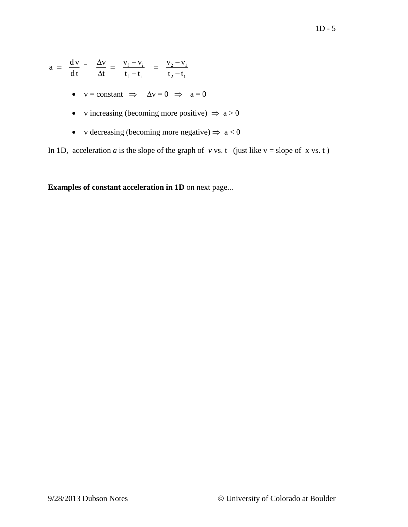$$
a = \frac{dv}{dt} \left[ \frac{\Delta v}{\Delta t} \right] = \frac{v_f - v_i}{t_f - t_i} = \frac{v_2 - v_1}{t_2 - t_1}
$$
\n•  $v = \text{constant} \implies \Delta v = 0 \implies a = 0$   
\n•  $v \text{ increasing (becoming more positive)} \implies a > 0$   
\n•  $v \text{ decreasing (becoming more negative)} \implies a < 0$   
\nIn 1D, acceleration *a* is the slope of the graph of *v* vs. *t* (just like *v* = slope of *x* vs. *t*)  
\n**Examples of constant acceleration in 1D** on next page...  
\n9/28/2013 Dubson Notes  
\n© University of Colorado at Boulder

- $v = constant \implies \Delta v = 0 \implies a = 0$
- v increasing (becoming more positive)  $\Rightarrow$  a > 0
- v decreasing (becoming more negative)  $\Rightarrow$  a < 0

In 1D, acceleration *a* is the slope of the graph of *v* vs. t (just like  $v = slope of x vs. t$ )

**Examples of constant acceleration in 1D** on next page...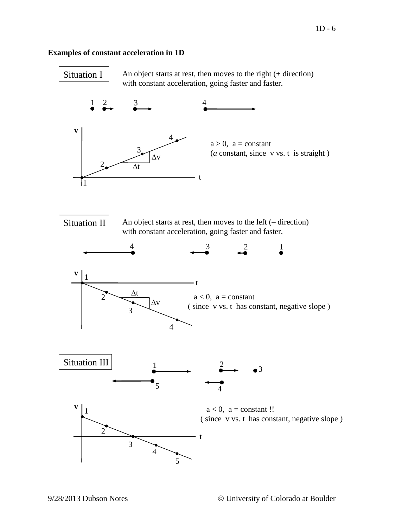## **Examples of constant acceleration in 1D**



An object starts at rest, then moves to the right (+ direction) with constant acceleration, going faster and faster.



with constant acceleration, going faster and faster.







 $a < 0$ ,  $a = constant$ !! ( since v vs. t has constant, negative slope )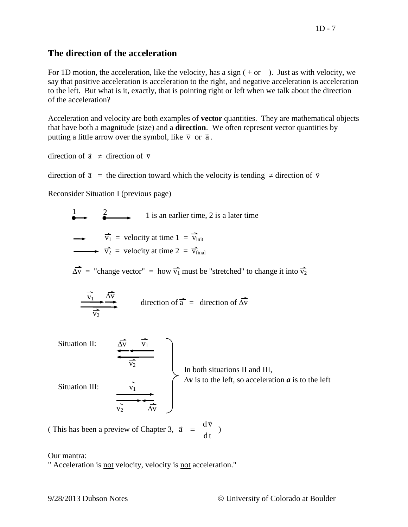# **The direction of the acceleration**

For 1D motion, the acceleration, like the velocity, has a sign  $( + or - )$ . Just as with velocity, we say that positive acceleration is acceleration to the right, and negative acceleration is acceleration to the left. But what is it, exactly, that is pointing right or left when we talk about the direction of the acceleration?

Acceleration and velocity are both examples of **vector** quantities. They are mathematical objects that have both a magnitude (size) and a **direction**. We often represent vector quantities by putting a little arrow over the symbol, like  $\vec{v}$  or  $\vec{a}$ .

direction of  $\vec{a} \neq$  direction of  $\vec{v}$ 

direction of  $\vec{a}$  = the direction toward which the velocity is <u>tending</u>  $\neq$  direction of  $\vec{v}$ 

Reconsider Situation I (previous page)

 $\frac{1}{2}$  1 is an earlier time, 2 is a later time  $\overrightarrow{v_1}$  = velocity at time  $1 = \overrightarrow{v_{init}}$  $\overrightarrow{v_2}$  = velocity at time  $2 = \overrightarrow{v_{final}}$  $\overrightarrow{\Delta v}$  = "change vector" = how  $\overrightarrow{v_1}$  must be "stretched" to change it into  $\overrightarrow{v_2}$  $\sim$   $\rightarrow$ 

$$
\frac{\overline{v_1} + \Delta v}{\overline{v_2}}
$$
 direction of  $\overrightarrow{a}$  = direction of  $\overrightarrow{\Delta v}$ 

Situation II:  $\overline{v_2}$  $\overline{\Delta v}$   $\overline{v}_1$ In both situations II and III,  $\Delta v$  is to the left, so acceleration  $\boldsymbol{a}$  is to the left Situation III:  $\overline{v_2}$   $\overline{\Delta v}$  $\overline{v_1}$ 

(This has been a preview of Chapter 3,  $\vec{a} = \frac{d\vec{v}}{dt}$ dt  $= \frac{uv}{v}$ )

Our mantra:

" Acceleration is not velocity, velocity is not acceleration."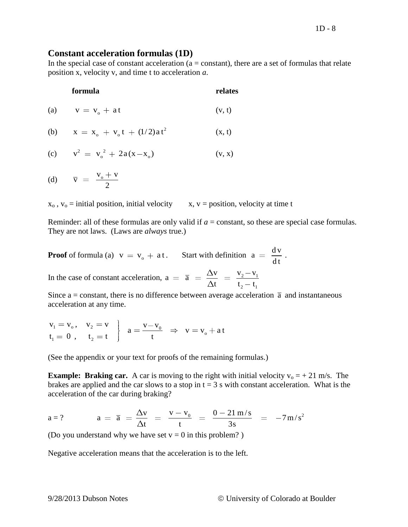### **Constant acceleration formulas (1D)**

In the special case of constant acceleration ( $a = constant$ ), there are a set of formulas that relate position x, velocity v, and time t to acceleration *a*.

### **formula relates**

(a)  $v = v_0 + a t$  $(v, t)$ 

(b) 
$$
x = x_o + v_o t + (1/2) a t^2
$$
 (x, t)

(c) 
$$
v^2 = v_o^2 + 2a(x-x_o)
$$
 (v, x)

(d)  $\overline{v} = \frac{v_0 + v}{\overline{v_0}}$ 2

 $x_0$ ,  $v_0$  = initial position, initial velocity x, v = position, velocity at time t

Reminder: all of these formulas are only valid if  $a = constant$ , so these are special case formulas. They are not laws. (Laws are *always* true.)

**Proof** of formula (a)  $v = v_0 + at$ . Start with definition  $a = \frac{dv}{dt}$ dt .

In the case of constant acceleration,  $a = \overline{a} = \frac{\Delta v}{\Delta} = \frac{v_2 - v_1}{\Delta}$  $_{2} - t_{1}$  $a = \overline{a} = \frac{\Delta v}{\Delta t} = \frac{v_2 - v_1}{t}$  $\frac{v}{t} = \frac{v_2 - v}{t_2 - t}$ 

Since a = constant, there is no difference between average acceleration  $\bar{a}$  and instantaneous

acceleration at any time.  
\n
$$
v_1 = v_o, \quad v_2 = v
$$
\n
$$
t_1 = 0, \quad t_2 = t
$$
\n
$$
\begin{cases}\n a = \frac{v - v_0}{t} \Rightarrow v = v_o + at \\
 \end{cases}
$$

(See the appendix or your text for proofs of the remaining formulas.)

**Example: Braking car.** A car is moving to the right with initial velocity  $v_0 = +21$  m/s. The brakes are applied and the car slows to a stop in  $t = 3$  s with constant acceleration. What is the acceleration of the car during braking?

acceleration of the car during braking?  
\n
$$
a = 2 \qquad a = \overline{a} = \frac{\Delta v}{\Delta t} = \frac{v - v_0}{t} = \frac{0 - 21 \text{ m/s}}{3 \text{s}} = -7 \text{ m/s}^2
$$

(Do you understand why we have set  $v = 0$  in this problem?)

Negative acceleration means that the acceleration is to the left.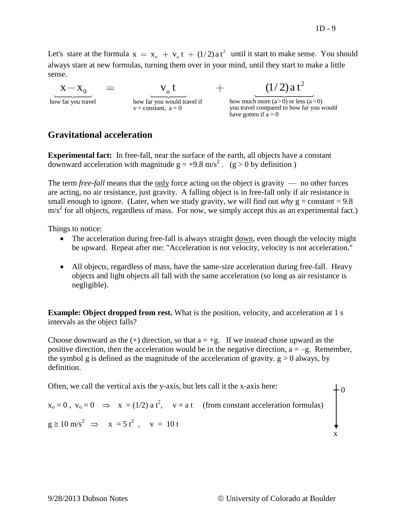Let's stare at the formula  $x = x_0 + y_0 t + (1/2) a t^2$  $x = x_0 + v_0 t + (1/2)a t^2$  until it start to make sense. You should always stare at new formulas, turning them over in your mind, until they start to make a little sense.  $\frac{0}{\sqrt{1-\frac{1}{2}}}$   $\frac{0}{\sqrt{1-\frac{1}{2}}}$   $\frac{0}{\sqrt{1-\frac{1}{2}}}$ s stare at the formula  $x = x_0 + v_0 t + (1/2) a t^2$  until it start to make s<br>ays stare at new formulas, turning them over in your mind, until they start t<br>se.<br> $x - x_0$  =  $v_0 t$  +  $(1/2) a t$ 

$$
X - X_0
$$

 $x - x_0$   $=$   $v_0 t$   $\frac{1}{2}$   $\frac{1}{2}$  how far you travel  $v =$  constant, a = 0 you travel compared to how far you would have gotten if  $\vec{a} = 0$ 

2

# **Gravitational acceleration**

**Experimental fact:** In free-fall, near the surface of the earth, all objects have a constant downward acceleration with magnitude  $g = +9.8 \text{ m/s}^2$ . (g > 0 by definition)

The term *free-fall* means that the only force acting on the object is gravity — no other forces are acting, no air resistance, just gravity. A falling object is in free-fall only if air resistance is small enough to ignore. (Later, when we study gravity, we will find out *why*  $g = constant = 9.8$  $m/s<sup>2</sup>$  for all objects, regardless of mass. For now, we simply accept this as an experimental fact.)

Things to notice:

- The acceleration during free-fall is always straight down, even though the velocity might be upward. Repeat after me: "Acceleration is not velocity, velocity is not acceleration."
- All objects, regardless of mass, have the same-size acceleration during free-fall. Heavy objects and light objects all fall with the same acceleration (so long as air resistance is negligible).

**Example: Object dropped from rest.** What is the position, velocity, and acceleration at 1 s intervals as the object falls?

Choose downward as the  $(+)$  direction, so that  $a = +g$ . If we instead chose upward as the positive direction, then the acceleration would be in the negative direction,  $a = -g$ . Remember, the symbol g is defined as the magnitude of the acceleration of gravity.  $g > 0$  always, by definition.

Often, we call the vertical axis the y-axis, but lets call it the x-axis here:

 $x_0 = 0$ ,  $v_0 = 0 \implies x = (1/2) a t^2$ ,  $v = a t$  (from constant acceleration formulas)  $g \approx 10 \text{ m/s}^2 \implies x = 5 t^2, v = 10 t$ 

x

0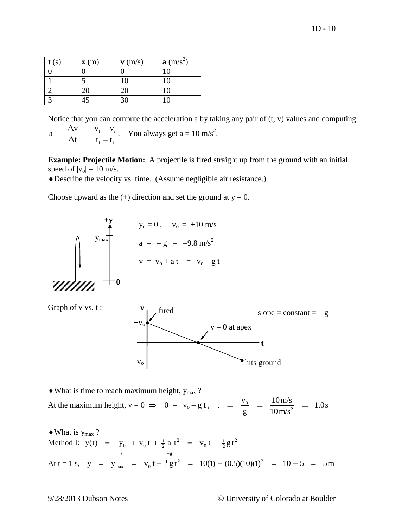| $\mathbf{t}(s)$ | $\mathbf{x}(m)$ | $\mathbf{v}$ (m/s) | $\mathbf{a}$ (m/s <sup>2</sup> ) |
|-----------------|-----------------|--------------------|----------------------------------|
|                 |                 |                    | 10                               |
|                 |                 | 10                 | 10                               |
|                 | 20              | 20                 | 10                               |
|                 | 45              |                    |                                  |

Notice that you can compute the acceleration a by taking any pair of  $(t, v)$  values and computing  $_{\rm f}$   $\rm{V}_i$  $_{\rm f}$  –  $\rm t_i$  $a = \frac{\Delta v}{\Delta t} = \frac{v_f - v_i}{t_f - t_i}$ . You always get a = 10 m/s<sup>2</sup>.

**Example: Projectile Motion:** A projectile is fired straight up from the ground with an initial speed of  $|v_0| = 10$  m/s.

Describe the velocity vs. time. (Assume negligible air resistance.)

Choose upward as the  $(+)$  direction and set the ground at  $y = 0$ .





 $\triangleleft$  What is time to reach maximum height,  $y_{max}$ ?

At the maximum height,  $v = 0 \implies 0 = v_0 - g t$ ,  $t = \frac{v_0}{a}$  $v = \frac{v_0}{g} = \frac{10 \text{ m/s}}{10 \text{ m/s}^2} = 1.0 \text{s}$  $\frac{v_0}{g}$  =  $\frac{10 \text{ m/s}}{10 \text{ m/s}}$ 

 $\bullet$  What is  $y_{\text{max}}$  ? What is  $y_{\text{max}}$ ?<br>Method I:  $y(t) = y_0 + v_0 t + \frac{1}{2} a t^2 = v_0 t - \frac{1}{2} g t^2$ max ?<br>
y(t) =  $y_0 + v_0 t + \frac{1}{2} a t^2 = v_0 t - \frac{1}{2} g t$ =  $y_0 + v_0 t + \frac{1}{2} a t^2 = v_0 t - \frac{1}{2} g t^2$ Method 1:  $y(t) = y_0 + v_0 t + \frac{1}{2} a t = v_0 t - \frac{1}{2}gt$ <br>
At t = 1 s,  $y = y_{max} = v_0 t - \frac{1}{2}gt^2 = 10(1) - (0.5)(10)(1)^2$  $y(t) = y_0 + v_0 t + \frac{1}{2} a t^2 = v_0 t - \frac{1}{2} g t^2$ <br>  $y = y_{max} = v_0 t - \frac{1}{2} g t^2 = 10(1) - (0.5)(10)(1)^2 = 10 - 5 = 5m$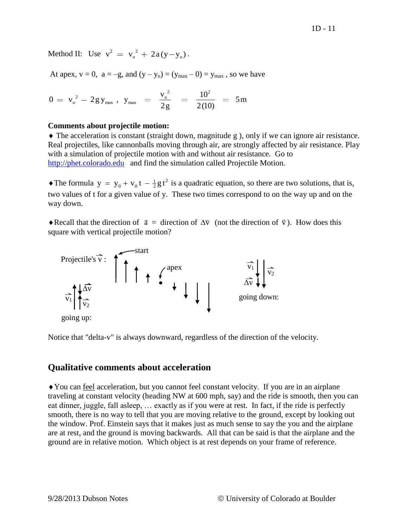Method II: Use  $v^2 = v_o^2 + 2a(y-y_o)$ .

At apex,  $v = 0$ ,  $a = -g$ , and  $(y - y_0) = (y_{max} - 0) = y_{max}$ , so we have

$$
0 = v_o^2 - 2gy_{max} , y_{max} = \frac{v_o^2}{2g} = \frac{10^2}{2(10)} = 5m
$$

### **Comments about projectile motion:**

 The acceleration is constant (straight down, magnitude g ), only if we can ignore air resistance. Real projectiles, like cannonballs moving through air, are strongly affected by air resistance. Play with a simulation of projectile motion with and without air resistance. Go to [http://phet.colorado.edu](http://phet.colorado.edu/) and find the simulation called Projectile Motion.

• The formula  $y = y_0 + v_0 t - \frac{1}{2}gt^2$  is a quadratic equation, so there are two solutions, that is, two values of t for a given value of y. These two times correspond to on the way up and on the way down.

Recall that the direction of  $\vec{a}$  = direction of  $\vec{\Delta} \vec{v}$  (not the direction of  $\vec{v}$ ). How does this square with vertical projectile motion?



Notice that "delta-v" is always downward, regardless of the direction of the velocity.

# **Qualitative comments about acceleration**

You can feel acceleration, but you cannot feel constant velocity. If you are in an airplane traveling at constant velocity (heading NW at 600 mph, say) and the ride is smooth, then you can eat dinner, juggle, fall asleep, … exactly as if you were at rest. In fact, if the ride is perfectly smooth, there is no way to tell that you are moving relative to the ground, except by looking out the window. Prof. Einstein says that it makes just as much sense to say the you and the airplane are at rest, and the ground is moving backwards. All that can be said is that the airplane and the ground are in relative motion. Which object is at rest depends on your frame of reference.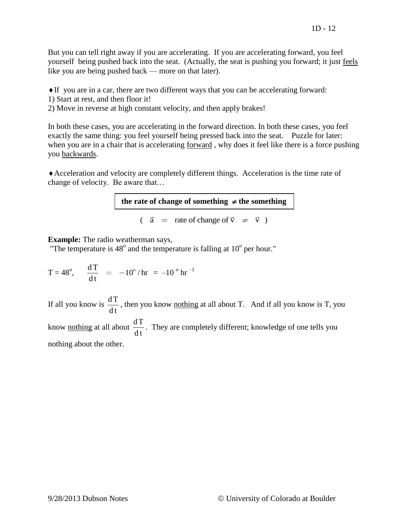But you can tell right away if you are accelerating. If you are accelerating forward, you feel yourself being pushed back into the seat. (Actually, the seat is pushing you forward; it just feels like you are being pushed back — more on that later).

- If you are in a car, there are two different ways that you can be accelerating forward:
- 1) Start at rest, and then floor it!
- 2) Move in reverse at high constant velocity, and then apply brakes!

In both these cases, you are accelerating in the forward direction. In both these cases, you feel exactly the same thing: you feel yourself being pressed back into the seat. Puzzle for later: when you are in a chair that is accelerating forward , why does it feel like there is a force pushing you backwards.

Acceleration and velocity are completely different things. Acceleration is the time rate of change of velocity. Be aware that…

the rate of change of something  $\neq$  the something

 $\overline{a}$  = rate of change of  $\overrightarrow{v}$   $\neq$   $\overrightarrow{v}$  )

### **Example:** The radio weatherman says,

"The temperature is  $48^{\circ}$  and the temperature is falling at  $10^{\circ}$  per hour."

$$
T = 48^\circ
$$
,  $\frac{dT}{dt} = -10^\circ / hr = -10^\circ hr^{-1}$ 

If all you know is  $\frac{dT}{T}$ dt , then you know nothing at all about T. And if all you know is T, you know <u>nothing</u> at all about  $\frac{dT}{dt}$ dt . They are completely different; knowledge of one tells you nothing about the other.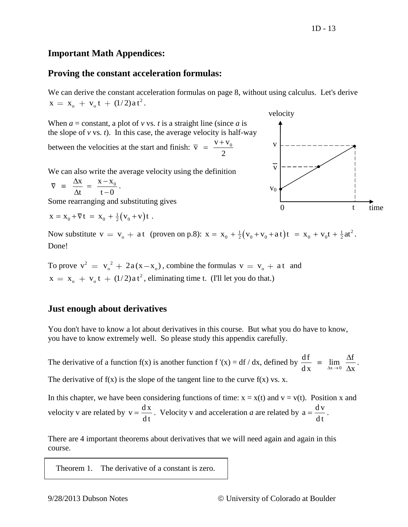# **Important Math Appendices:**

## **Proving the constant acceleration formulas:**

We can derive the constant acceleration formulas on page 8, without using calculus. Let's derive 2 we can derive the constant according  $x = x_0 + v_0 t + (1/2) a t^2$ .

When  $a = constant$ , a plot of  $v$  vs. *t* is a straight line (since *a* is the slope of  $v$  vs.  $t$ ). In this case, the average velocity is half-way between the velocities at the start and finish:  $\bar{v} = \frac{v + v_0}{\sqrt{v_0}}$  $=\frac{V+}{I}$ 

2

We can also write the average velocity using the definition

$$
\overline{v} = \frac{\Delta x}{\Delta t} = \frac{x - x_0}{t - 0}.
$$

Some rearranging and substituting gives

$$
x = x_0 + \overline{v} t = x_0 + \frac{1}{2}(v_0 + v)t.
$$

 $x = x_0 + vt = x_0 + \frac{1}{2}(v_0 + v)t$ .<br>Now substitute  $v = v_0 + at$  (proven on p.8):  $x = x_0 + \frac{1}{2}(v_0 + v_0 + at)t = x_0 + v_0t + \frac{1}{2}at^2$ . Done!

To prove  $v^2 = v_0^2 + 2a(x-x_0)$ , combine the formulas  $v = v_0 + at$  and 2  $x = x_0 + v_0 t + (1/2) a t^2$ , eliminating time t. (I'll let you do that.)

# **Just enough about derivatives**

You don't have to know a lot about derivatives in this course. But what you do have to know, you have to know extremely well. So please study this appendix carefully.

The derivative of a function f(x) is another function f '(x) = df / dx, defined by  $\frac{df}{dx} = \lim_{\Delta x \to 0} \frac{\Delta f}{\Delta x}$  $\frac{d}{dx}$   $\frac{m}{\Delta x}$   $\frac{m}{\Delta x}$  $=$   $\lim \frac{\Delta}{\Delta}$  $\Delta$ . The derivative of  $f(x)$  is the slope of the tangent line to the curve  $f(x)$  vs. x.

In this chapter, we have been considering functions of time:  $x = x(t)$  and  $v = v(t)$ . Position x and velocity v are related by  $v = \frac{dx}{dt}$ dt  $=\frac{dx}{dx}$ . Velocity v and acceleration *a* are related by  $a = \frac{dv}{dx}$ dt  $=\frac{u v}{1}$ .

There are 4 important theorems about derivatives that we will need again and again in this course.

Theorem 1. The derivative of a constant is zero.

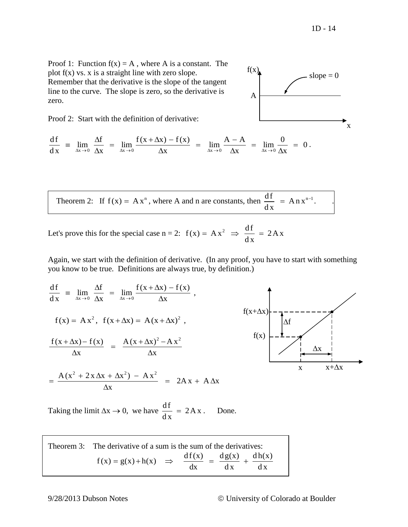$slope = 0$ 

x

Proof 1: Function  $f(x) = A$ , where A is a constant. The plot  $f(x)$  vs. x is a straight line with zero slope. Remember that the derivative is the slope of the tangent line to the curve. The slope is zero, so the derivative is zero.

Proof 2: Start with the definition of derivative:

Proof 2: Start with the definition of derivative:  
\n
$$
\frac{df}{dx} = \lim_{\Delta x \to 0} \frac{\Delta f}{\Delta x} = \lim_{\Delta x \to 0} \frac{f(x + \Delta x) - f(x)}{\Delta x} = \lim_{\Delta x \to 0} \frac{A - A}{\Delta x} = \lim_{\Delta x \to 0} \frac{0}{\Delta x} = 0.
$$

Theorem 2: If  $f(x) = Ax^n$ , where A and n are constants, then  $\frac{df}{dx} = An x^{n-1}$ d x  $=$  Anx<sup>n-1</sup>.  $\qquad$ .

A

 $f(x)$ 

Let's prove this for the special case  $n = 2$ :  $f(x) = Ax^2 \Rightarrow \frac{df}{dx} = 2Ax$  $\frac{d}{dx}$  $= Ax^2 \Rightarrow \frac{df}{dx} = 2A$ 

Again, we start with the definition of derivative. (In any proof, you have to start with something

you know to be true. Definitions are always true, by definition.)  
\n
$$
\frac{df}{dx} = \lim_{\Delta x \to 0} \frac{\Delta f}{\Delta x} = \lim_{\Delta x \to 0} \frac{f(x + \Delta x) - f(x)}{\Delta x},
$$
\n
$$
f(x) = Ax^2, \quad f(x + \Delta x) = A(x + \Delta x)^2,
$$
\n
$$
\frac{f(x + \Delta x) - f(x)}{\Delta x} = \frac{A(x + \Delta x)^2 - A x^2}{\Delta x}
$$
\n
$$
= \frac{A(x^2 + 2x \Delta x + \Delta x^2) - A x^2}{\Delta x} = 2Ax + A\Delta x
$$

Taking the limit  $\Delta x \rightarrow 0$ , we have  $\frac{df}{dx} = 2Ax$ d x  $=$ . Done.

| Theorem 3: The derivative of a sum is the sum of the derivatives: |  |    |                                                                |    |  |  |
|-------------------------------------------------------------------|--|----|----------------------------------------------------------------|----|--|--|
| $f(x) = g(x) + h(x) \implies$                                     |  | dx | $\frac{df(x)}{dx} = \frac{dg(x)}{dx} + \frac{dh(x)}{dx}$<br>dx | dx |  |  |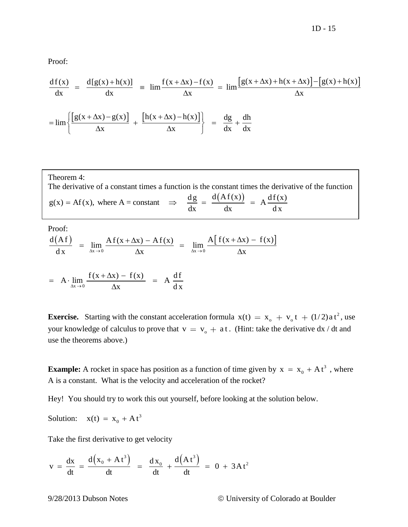Proof:

Proof:  
\n
$$
\frac{df(x)}{dx} = \frac{d[g(x) + h(x)]}{dx} = \lim \frac{f(x + \Delta x) - f(x)}{\Delta x} = \lim \frac{[g(x + \Delta x) + h(x + \Delta x)] - [g(x) + h(x)]}{\Delta x}
$$
\n
$$
= \lim \left\{ \frac{[g(x + \Delta x) - g(x)]}{\Delta x} + \frac{[h(x + \Delta x) - h(x)]}{\Delta x} \right\} = \frac{dg}{dx} + \frac{dh}{dx}
$$

$$
= \lim \left\{ \frac{\left[g(x + \Delta x) - g(x)\right]}{\Delta x} + \frac{\left[h(x + \Delta x) - h(x)\right]}{\Delta x} \right\} = \frac{dg}{dx} + \frac{dh}{dx}
$$

Theorem 4: The derivative of a constant times a function is the constant times the derivative of the function Theorem 4:<br>The derivative of a constant times a function is the constant times the derive  $g(x) = Af(x)$ , where  $A = constant$   $\Rightarrow$   $\frac{dg}{dx} = \frac{d(Af(x))}{dx} = A \frac{df(x)}{dx}$ a is the constant times the der<br>  $\frac{dg}{dx} = \frac{d(Af(x))}{dx} = A \frac{df(x)}{dx}$ the serivative of a constant times a function is the constant times the derival<br>= Af(x), where A = constant  $\Rightarrow \frac{dg}{dx} = \frac{d(Af(x))}{dx} = A \frac{df(x)}{dx}$  $\overline{a}$ 

Proof:  
\n
$$
\frac{d(Af)}{dx} = \lim_{\Delta x \to 0} \frac{Af(x + \Delta x) - Af(x)}{\Delta x} = \lim_{\Delta x \to 0} \frac{A[f(x + \Delta x) - f(x)]}{\Delta x}
$$

$$
\frac{d x}{dx} = \lim_{\Delta x \to 0} \frac{f(x + \Delta x) - f(x)}{\Delta x} = A \frac{df}{dx}
$$
  
= A \cdot \lim\_{\Delta x \to 0} \frac{f(x + \Delta x) - f(x)}{\Delta x} = A \frac{df}{dx}

**Exercise.** Starting with the constant acceleration formula  $x(t) = x_0 + v_0 t + (1/2) a t^2$  $x(t) = x_0 + v_0 t + (1/2) a t^2$ , use your knowledge of calculus to prove that  $v = v_0 + a t$ . (Hint: take the derivative dx / dt and use the theorems above.)

**Example:** A rocket in space has position as a function of time given by  $x = x_0 + At^3$  $x = x_0 + At^3$ , where A is a constant. What is the velocity and acceleration of the rocket?

Hey! You should try to work this out yourself, before looking at the solution below.

Solution:  $x(t) = x_0 + At^3$  $x(t) = x_0 + At$ 

Take the first derivative to get velocity  
\n
$$
v = \frac{dx}{dt} = \frac{d(x_0 + At^3)}{dt} = \frac{dx_0}{dt} + \frac{d(At^3)}{dt} = 0 + 3At^2
$$

9/28/2013 Dubson Notes University of Colorado at Boulder